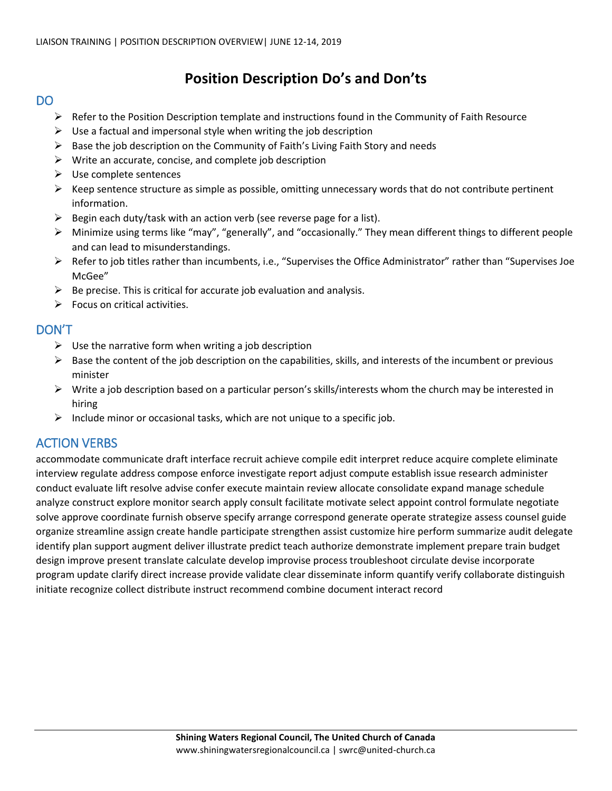## **Position Description Do's and Don'ts**

## DO

- $\triangleright$  Refer to the Position Description template and instructions found in the Community of Faith Resource
- $\triangleright$  Use a factual and impersonal style when writing the job description
- $\triangleright$  Base the job description on the Community of Faith's Living Faith Story and needs
- $\triangleright$  Write an accurate, concise, and complete job description
- $\triangleright$  Use complete sentences
- $\triangleright$  Keep sentence structure as simple as possible, omitting unnecessary words that do not contribute pertinent information.
- $\triangleright$  Begin each duty/task with an action verb (see reverse page for a list).
- Minimize using terms like "may", "generally", and "occasionally." They mean different things to different people and can lead to misunderstandings.
- $\triangleright$  Refer to job titles rather than incumbents, i.e., "Supervises the Office Administrator" rather than "Supervises Joe McGee"
- $\triangleright$  Be precise. This is critical for accurate job evaluation and analysis.
- $\triangleright$  Focus on critical activities.

## DON'T

- $\triangleright$  Use the narrative form when writing a job description
- $\triangleright$  Base the content of the job description on the capabilities, skills, and interests of the incumbent or previous minister
- $\triangleright$  Write a job description based on a particular person's skills/interests whom the church may be interested in hiring
- $\triangleright$  Include minor or occasional tasks, which are not unique to a specific job.

## ACTION VERBS

accommodate communicate draft interface recruit achieve compile edit interpret reduce acquire complete eliminate interview regulate address compose enforce investigate report adjust compute establish issue research administer conduct evaluate lift resolve advise confer execute maintain review allocate consolidate expand manage schedule analyze construct explore monitor search apply consult facilitate motivate select appoint control formulate negotiate solve approve coordinate furnish observe specify arrange correspond generate operate strategize assess counsel guide organize streamline assign create handle participate strengthen assist customize hire perform summarize audit delegate identify plan support augment deliver illustrate predict teach authorize demonstrate implement prepare train budget design improve present translate calculate develop improvise process troubleshoot circulate devise incorporate program update clarify direct increase provide validate clear disseminate inform quantify verify collaborate distinguish initiate recognize collect distribute instruct recommend combine document interact record